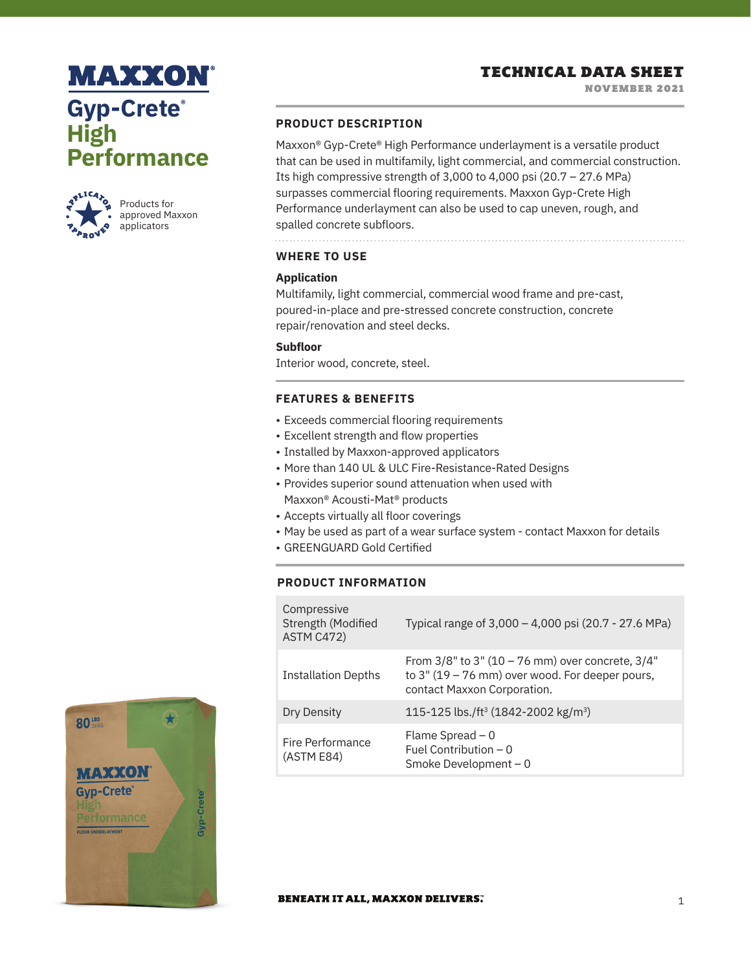# **MAXXON Gyp-Crete® High Performance**



Products for approved Maxxon applicators

## **PRODUCT DESCRIPTION**

Maxxon® Gyp-Crete® High Performance underlayment is a versatile product that can be used in multifamily, light commercial, and commercial construction. Its high compressive strength of  $3,000$  to  $4,000$  psi  $(20.7 - 27.6$  MPa) surpasses commercial flooring requirements. Maxxon Gyp-Crete High Performance underlayment can also be used to cap uneven, rough, and spalled concrete subfloors.

**WHERE TO USE**

## **Application**

Multifamily, light commercial, commercial wood frame and pre-cast, poured-in-place and pre-stressed concrete construction, concrete repair/renovation and steel decks.

## **Subfloor**

Interior wood, concrete, steel.

## **FEATURES & BENEFITS**

- Exceeds commercial flooring requirements
- Excellent strength and flow properties
- Installed by Maxxon-approved applicators
- More than 140 UL & ULC Fire-Resistance-Rated Designs
- Provides superior sound attenuation when used with Maxxon® Acousti-Mat® products
- Accepts virtually all floor coverings
- May be used as part of a wear surface system contact Maxxon for details
- GREENGUARD Gold Certified

## **PRODUCT INFORMATION**

| Compressive<br>Strength (Modified<br>ASTM C472) | Typical range of 3,000 - 4,000 psi (20.7 - 27.6 MPa)                                                                                          |
|-------------------------------------------------|-----------------------------------------------------------------------------------------------------------------------------------------------|
| <b>Installation Depths</b>                      | From $3/8$ " to $3$ " (10 – 76 mm) over concrete, $3/4$ "<br>to $3''(19 - 76$ mm) over wood. For deeper pours,<br>contact Maxxon Corporation. |
| Dry Density                                     | 115-125 lbs./ft <sup>3</sup> (1842-2002 kg/m <sup>3</sup> )                                                                                   |
| Fire Performance<br>(ASTM E84)                  | Flame Spread $-0$<br>Fuel Contribution $-0$<br>Smoke Development - 0                                                                          |



#### **BENEATH IT ALL, MAXXON DELIVERS.**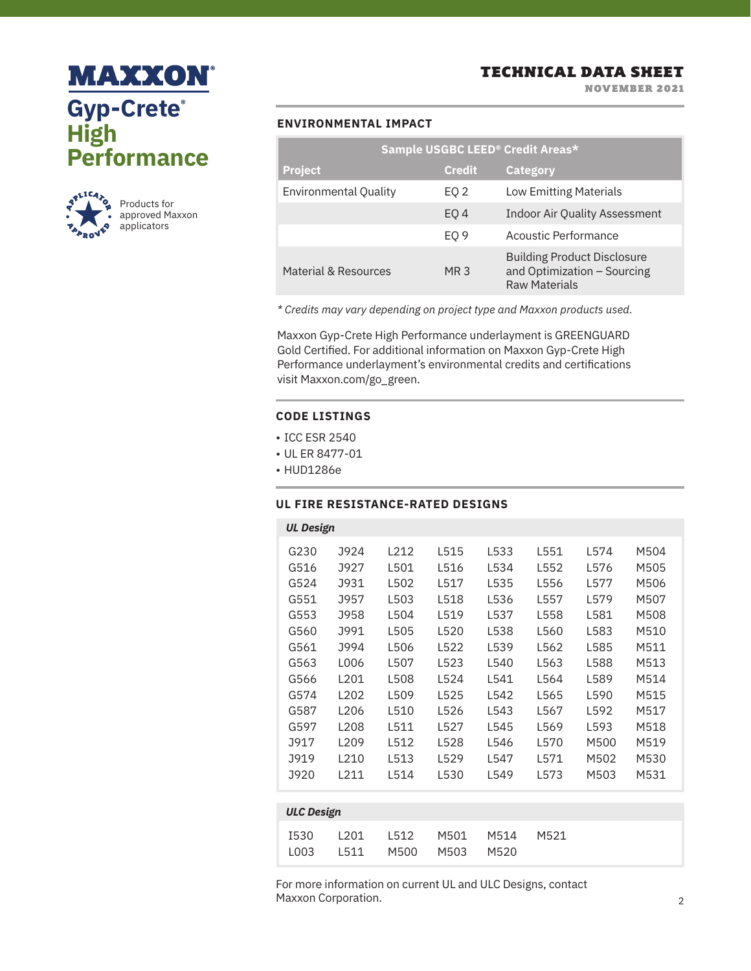



NOVEMBER 2021

## **ENVIRONMENTAL IMPACT**

|                       |                 | Sample USGBC LEED <sup>®</sup> Credit Areas*                                              |
|-----------------------|-----------------|-------------------------------------------------------------------------------------------|
| <b>Project</b>        | <b>Credit</b>   | <b>Category</b>                                                                           |
| Environmental Quality | EQ 2            | <b>Low Emitting Materials</b>                                                             |
|                       | EO <sub>4</sub> | <b>Indoor Air Quality Assessment</b>                                                      |
|                       | EO <sub>9</sub> | Acoustic Performance                                                                      |
| Material & Resources  | MR 3            | <b>Building Product Disclosure</b><br>and Optimization - Sourcing<br><b>Raw Materials</b> |

*\* Credits may vary depending on project type and Maxxon products used.*

Maxxon Gyp-Crete High Performance underlayment is GREENGUARD Gold Certified. For additional information on Maxxon Gyp-Crete High Performance underlayment's environmental credits and certifications visit Maxxon.com/go\_green.

### **CODE LISTINGS**

- ICC ESR 2540
- UL ER 8477-01
- HUD1286e

## **UL FIRE RESISTANCE-RATED DESIGNS**

| <b>UL Design</b>  |                  |      |      |      |      |      |      |
|-------------------|------------------|------|------|------|------|------|------|
| G230              | J924             | L212 | L515 | L533 | L551 | L574 | M504 |
| G516              | J927             | L501 | L516 | L534 | L552 | L576 | M505 |
| G524              | J931             | L502 | L517 | L535 | L556 | L577 | M506 |
| G551              | J957             | L503 | L518 | L536 | L557 | L579 | M507 |
| G553              | J958             | L504 | L519 | L537 | L558 | L581 | M508 |
| G560              | J991             | L505 | L520 | L538 | L560 | L583 | M510 |
| G561              | J994             | L506 | L522 | L539 | L562 | L585 | M511 |
| G563              | L006             | L507 | L523 | L540 | L563 | L588 | M513 |
| G566              | L201             | L508 | L524 | L541 | L564 | L589 | M514 |
| G574              | L <sub>202</sub> | L509 | L525 | L542 | L565 | L590 | M515 |
| G587              | L <sub>206</sub> | L510 | L526 | L543 | L567 | L592 | M517 |
| G597              | L <sub>208</sub> | L511 | L527 | L545 | L569 | L593 | M518 |
| J917              | L <sub>209</sub> | L512 | L528 | L546 | L570 | M500 | M519 |
| J919              | 1210             | L513 | L529 | L547 | L571 | M502 | M530 |
| <b>J920</b>       | L211             | L514 | L530 | L549 | L573 | M503 | M531 |
|                   |                  |      |      |      |      |      |      |
| <b>ULC Design</b> |                  |      |      |      |      |      |      |

| I530 L201 L512 M501 M514 M521 |
|-------------------------------|
|                               |
|                               |
|                               |
|                               |
| LOO3 L511 M500 M503 M520      |
|                               |

For more information on current UL and ULC Designs, contact Maxxon Corporation.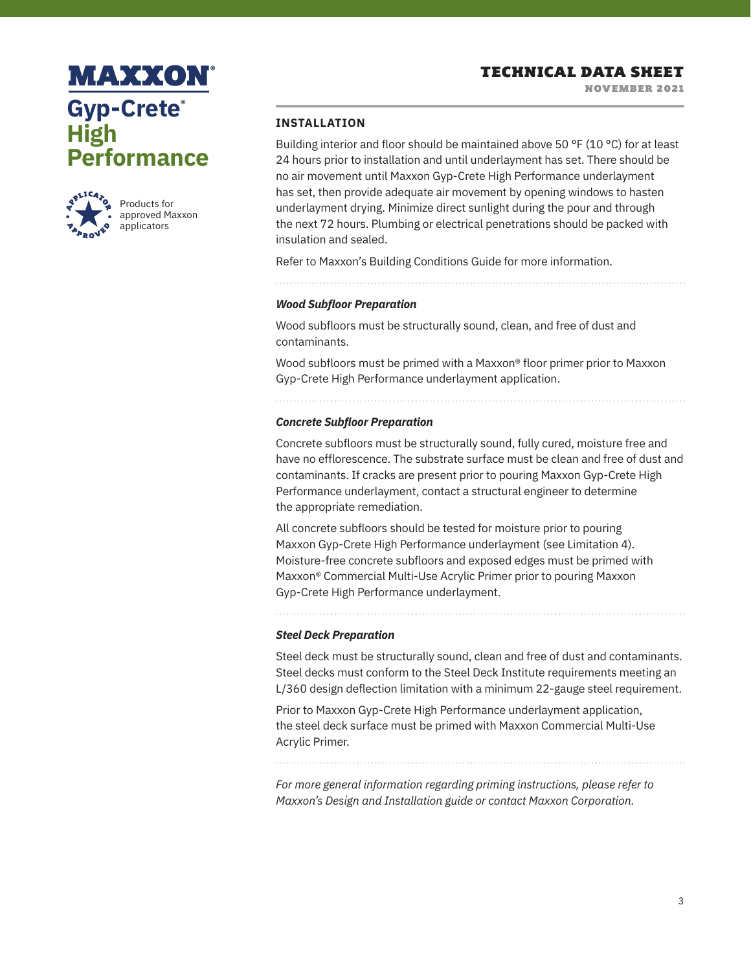NOVEMBER 2021

# **MAXXON Gyp-Crete® High Performance**



Products for approved Maxxon applicators

## **INSTALLATION**

Building interior and floor should be maintained above 50 °F (10 °C) for at least 24 hours prior to installation and until underlayment has set. There should be no air movement until Maxxon Gyp-Crete High Performance underlayment has set, then provide adequate air movement by opening windows to hasten underlayment drying. Minimize direct sunlight during the pour and through the next 72 hours. Plumbing or electrical penetrations should be packed with insulation and sealed.

Refer to Maxxon's Building Conditions Guide for more information.

### *Wood Subfloor Preparation*

Wood subfloors must be structurally sound, clean, and free of dust and contaminants.

Wood subfloors must be primed with a Maxxon® floor primer prior to Maxxon Gyp-Crete High Performance underlayment application.

#### *Concrete Subfloor Preparation*

Concrete subfloors must be structurally sound, fully cured, moisture free and have no efflorescence. The substrate surface must be clean and free of dust and contaminants. If cracks are present prior to pouring Maxxon Gyp-Crete High Performance underlayment, contact a structural engineer to determine the appropriate remediation.

All concrete subfloors should be tested for moisture prior to pouring Maxxon Gyp-Crete High Performance underlayment (see Limitation 4). Moisture-free concrete subfloors and exposed edges must be primed with Maxxon® Commercial Multi-Use Acrylic Primer prior to pouring Maxxon Gyp-Crete High Performance underlayment.

*Steel Deck Preparation*

Steel deck must be structurally sound, clean and free of dust and contaminants. Steel decks must conform to the Steel Deck Institute requirements meeting an L/360 design deflection limitation with a minimum 22-gauge steel requirement.

Prior to Maxxon Gyp-Crete High Performance underlayment application, the steel deck surface must be primed with Maxxon Commercial Multi-Use Acrylic Primer.

*For more general information regarding priming instructions, please refer to Maxxon's Design and Installation guide or contact Maxxon Corporation.*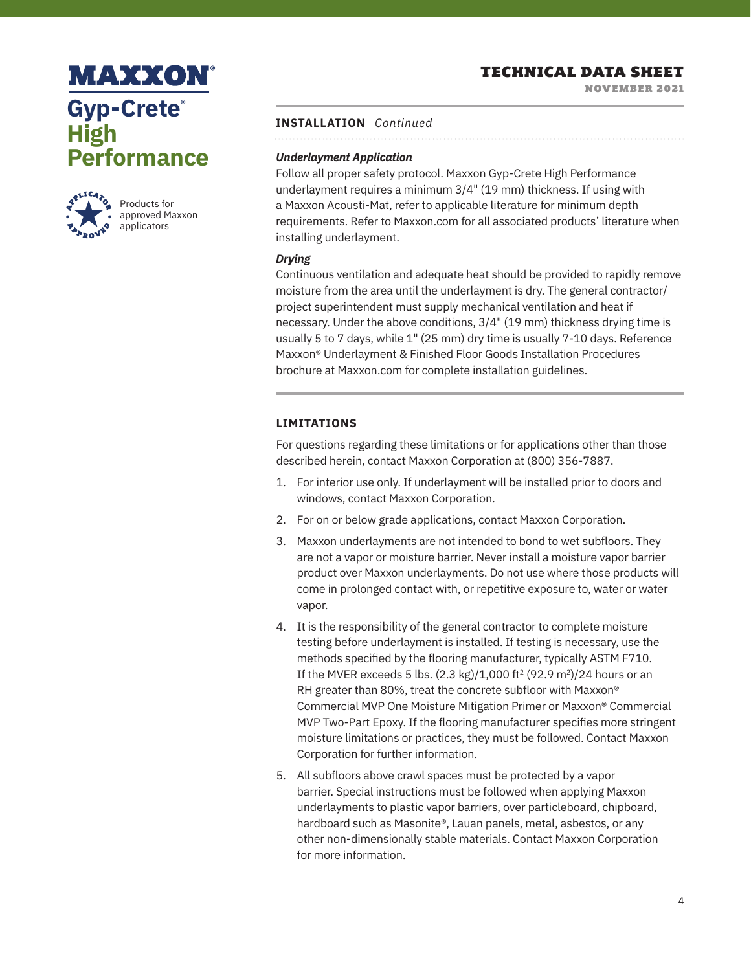# **MAXXON Gyp-Crete® High Performance**



Products for approved Maxxon applicators

## TECHNICAL DATA SHEET

NOVEMBER 2021

## **INSTALLATION** *Continued*

## *Underlayment Application*

Follow all proper safety protocol. Maxxon Gyp-Crete High Performance underlayment requires a minimum 3/4" (19 mm) thickness. If using with a Maxxon Acousti-Mat, refer to applicable literature for minimum depth requirements. Refer to Maxxon.com for all associated products' literature when installing underlayment.

## *Drying*

Continuous ventilation and adequate heat should be provided to rapidly remove moisture from the area until the underlayment is dry. The general contractor/ project superintendent must supply mechanical ventilation and heat if necessary. Under the above conditions, 3/4" (19 mm) thickness drying time is usually 5 to 7 days, while 1" (25 mm) dry time is usually 7-10 days. Reference Maxxon® Underlayment & Finished Floor Goods Installation Procedures brochure at Maxxon.com for complete installation guidelines.

## **LIMITATIONS**

For questions regarding these limitations or for applications other than those described herein, contact Maxxon Corporation at (800) 356-7887.

- 1. For interior use only. If underlayment will be installed prior to doors and windows, contact Maxxon Corporation.
- 2. For on or below grade applications, contact Maxxon Corporation.
- 3. Maxxon underlayments are not intended to bond to wet subfloors. They are not a vapor or moisture barrier. Never install a moisture vapor barrier product over Maxxon underlayments. Do not use where those products will come in prolonged contact with, or repetitive exposure to, water or water vapor.
- 4. It is the responsibility of the general contractor to complete moisture testing before underlayment is installed. If testing is necessary, use the methods specified by the flooring manufacturer, typically ASTM F710. If the MVER exceeds 5 lbs.  $(2.3 \text{ kg})/1,000$  ft<sup>2</sup>  $(92.9 \text{ m}^2)/24$  hours or an RH greater than 80%, treat the concrete subfloor with Maxxon® Commercial MVP One Moisture Mitigation Primer or Maxxon® Commercial MVP Two-Part Epoxy. If the flooring manufacturer specifies more stringent moisture limitations or practices, they must be followed. Contact Maxxon Corporation for further information.
- 5. All subfloors above crawl spaces must be protected by a vapor barrier. Special instructions must be followed when applying Maxxon underlayments to plastic vapor barriers, over particleboard, chipboard, hardboard such as Masonite®, Lauan panels, metal, asbestos, or any other non-dimensionally stable materials. Contact Maxxon Corporation for more information.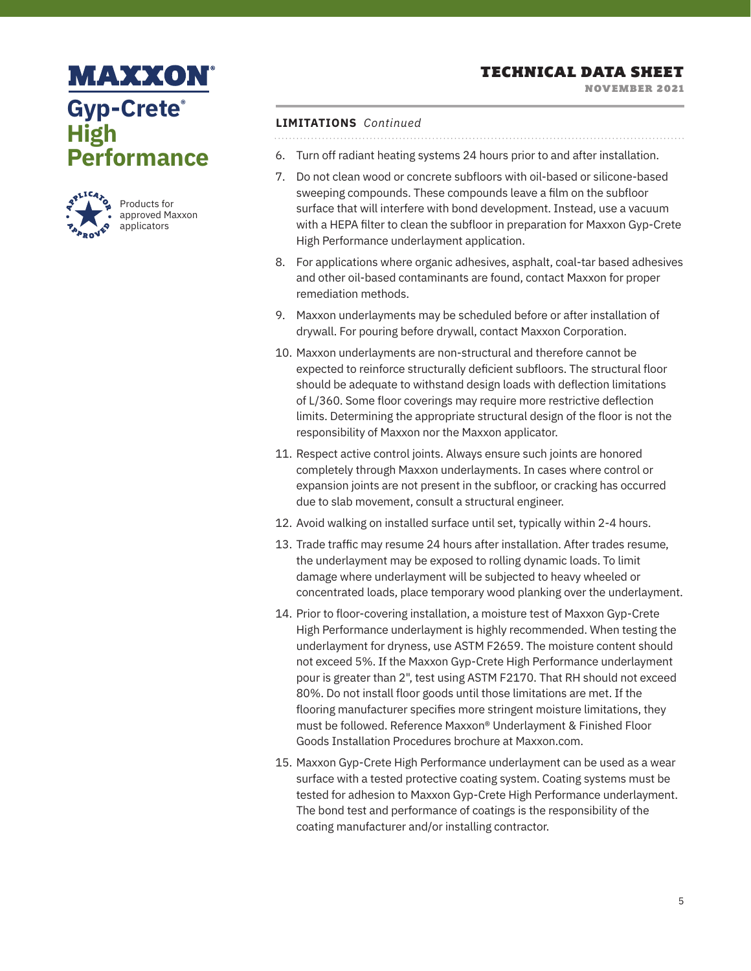NOVEMBER 2021

# **MAXXON Gyp-Crete® High Performance**



## **LIMITATIONS** *Continued*

- 6. Turn off radiant heating systems 24 hours prior to and after installation.
- 7. Do not clean wood or concrete subfloors with oil-based or silicone-based sweeping compounds. These compounds leave a film on the subfloor surface that will interfere with bond development. Instead, use a vacuum with a HEPA filter to clean the subfloor in preparation for Maxxon Gyp-Crete High Performance underlayment application.
- 8. For applications where organic adhesives, asphalt, coal-tar based adhesives and other oil-based contaminants are found, contact Maxxon for proper remediation methods.
- 9. Maxxon underlayments may be scheduled before or after installation of drywall. For pouring before drywall, contact Maxxon Corporation.
- 10. Maxxon underlayments are non-structural and therefore cannot be expected to reinforce structurally deficient subfloors. The structural floor should be adequate to withstand design loads with deflection limitations of L/360. Some floor coverings may require more restrictive deflection limits. Determining the appropriate structural design of the floor is not the responsibility of Maxxon nor the Maxxon applicator.
- 11. Respect active control joints. Always ensure such joints are honored completely through Maxxon underlayments. In cases where control or expansion joints are not present in the subfloor, or cracking has occurred due to slab movement, consult a structural engineer.
- 12. Avoid walking on installed surface until set, typically within 2-4 hours.
- 13. Trade traffic may resume 24 hours after installation. After trades resume, the underlayment may be exposed to rolling dynamic loads. To limit damage where underlayment will be subjected to heavy wheeled or concentrated loads, place temporary wood planking over the underlayment.
- 14. Prior to floor-covering installation, a moisture test of Maxxon Gyp-Crete High Performance underlayment is highly recommended. When testing the underlayment for dryness, use ASTM F2659. The moisture content should not exceed 5%. If the Maxxon Gyp-Crete High Performance underlayment pour is greater than 2", test using ASTM F2170. That RH should not exceed 80%. Do not install floor goods until those limitations are met. If the flooring manufacturer specifies more stringent moisture limitations, they must be followed. Reference Maxxon® Underlayment & Finished Floor Goods Installation Procedures brochure at Maxxon.com.
- 15. Maxxon Gyp-Crete High Performance underlayment can be used as a wear surface with a tested protective coating system. Coating systems must be tested for adhesion to Maxxon Gyp-Crete High Performance underlayment. The bond test and performance of coatings is the responsibility of the coating manufacturer and/or installing contractor.